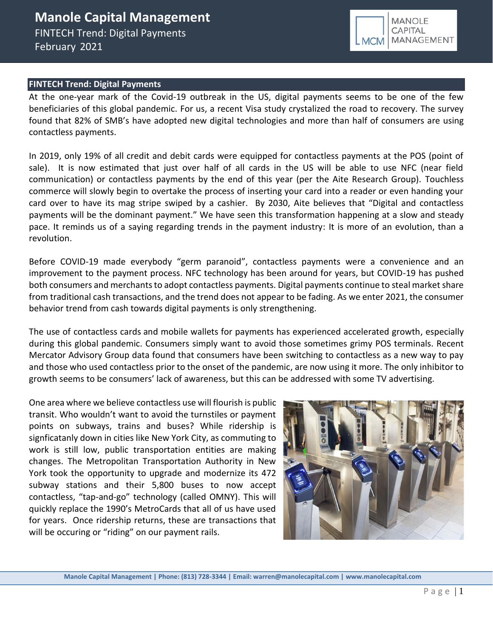### **MANOLE** CAPITAL MANAGEMENT

### **FINTECH Trend: Digital Payments**

At the one-year mark of the Covid-19 outbreak in the US, digital payments seems to be one of the few beneficiaries of this global pandemic. For us, a recent Visa study crystalized the road to recovery. The survey found that 82% of SMB's have adopted new digital technologies and more than half of consumers are using contactless payments.

In 2019, only 19% of all credit and debit cards were equipped for contactless payments at the POS (point of sale). It is now estimated that just over half of all cards in the US will be able to use NFC (near field communication) or contactless payments by the end of this year (per the Aite Research Group). Touchless commerce will slowly begin to overtake the process of inserting your card into a reader or even handing your card over to have its mag stripe swiped by a cashier. By 2030, Aite believes that "Digital and contactless payments will be the dominant payment." We have seen this transformation happening at a slow and steady pace. It reminds us of a saying regarding trends in the payment industry: It is more of an evolution, than a revolution.

Before COVID-19 made everybody "germ paranoid", contactless payments were a convenience and an improvement to the payment process. NFC technology has been around for years, but COVID-19 has pushed both consumers and merchants to adopt contactless payments. Digital payments continue to steal market share from traditional cash transactions, and the trend does not appear to be fading. As we enter 2021, the consumer behavior trend from cash towards digital payments is only strengthening.

The use of [contactless cards](https://www.paymentsjournal.com/banks-are-counting-on-contactless-cards-to-supplant-cash-in-small-dollar-purchases/) and mobile wallets for payments has experienced accelerated growth, especially during this global pandemic. Consumers simply want to avoid those sometimes grimy POS terminals. Recent Mercator Advisory Group data found that consumers have been switching to contactless as a new way to pay and those who used contactless prior to the onset of the pandemic, are now using it more. The only inhibitor to growth seems to be consumers' lack of awareness, but this can be addressed with some TV advertising.

One area where we believe contactless use will flourish is public transit. Who wouldn't want to avoid the turnstiles or payment points on subways, trains and buses? While ridership is signficatanly down in cities like New York City, as commuting to work is still low, public transportation entities are making changes. The Metropolitan Transportation Authority in New York took the opportunity to upgrade and modernize its 472 subway stations and their 5,800 buses to now accept contactless, "tap-and-go" technology (called OMNY). This will quickly replace the 1990's MetroCards that all of us have used for years. Once ridership returns, these are transactions that will be occuring or "riding" on our payment rails.



**Manole Capital Management | Phone: (813) 728-3344 | Email: warren@manolecapital.com | www.manolecapital.com**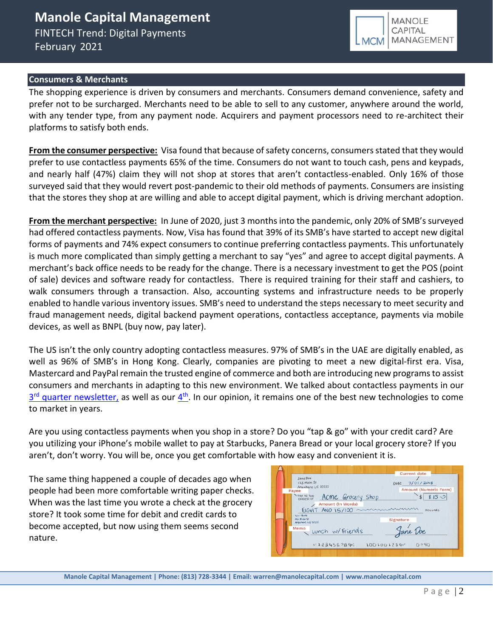

#### **Consumers & Merchants**

The shopping experience is driven by consumers and merchants. Consumers demand convenience, safety and prefer not to be surcharged. Merchants need to be able to sell to any customer, anywhere around the world, with any tender type, from any payment node. Acquirers and payment processors need to re-architect their platforms to satisfy both ends.

**From the consumer perspective:** Visa found that because of safety concerns, consumers stated that they would prefer to use contactless payments 65% of the time. Consumers do not want to touch cash, pens and keypads, and nearly half (47%) claim they will not shop at stores that aren't contactless-enabled. Only 16% of those surveyed said that they would revert post-pandemic to their old methods of payments. Consumers are insisting that the stores they shop at are willing and able to accept digital payment, which is driving merchant adoption.

**From the merchant perspective:** In June of 2020, just 3 months into the pandemic, only 20% of SMB's surveyed had offered contactless payments. Now, Visa has found that 39% of its SMB's have started to accept new digital forms of payments and 74% expect consumers to continue preferring contactless payments. This unfortunately is much more complicated than simply getting a merchant to say "yes" and agree to accept digital payments. A merchant's back office needs to be ready for the change. There is a necessary investment to get the POS (point of sale) devices and software ready for contactless. There is required training for their staff and cashiers, to walk consumers through a transaction. Also, accounting systems and infrastructure needs to be properly enabled to handle various inventory issues. SMB's need to understand the steps necessary to meet security and fraud management needs, digital backend payment operations, contactless acceptance, payments via mobile devices, as well as BNPL (buy now, pay later).

The US isn't the only country adopting contactless measures. 97% of SMB's in the UAE are digitally enabled, as well as 96% of SMB's in Hong Kong. Clearly, companies are pivoting to meet a new digital-first era. Visa, Mastercard and PayPal remain the trusted engine of commerce and both are introducing new programs to assist consumers and merchants in adapting to this new environment. We talked about contactless payments in our 3<sup>rd</sup> [quarter newsletter,](https://b9f3c509-36e7-4c54-97bf-174f29a2aa48.filesusr.com/ugd/43315f_72d24c1ff21f4a2cb473aae1ac9a470f.pdf) as well as our [4](https://b9f3c509-36e7-4c54-97bf-174f29a2aa48.filesusr.com/ugd/43315f_baeebce939764d5ab5a038dee304dc40.pdf)<sup>th</sup>. In our opinion, it remains one of the best new technologies to come to market in years.

Are you using contactless payments when you shop in a store? Do you "tap & go" with your credit card? Are you utilizing your iPhone's mobile wallet to pay at Starbucks, Panera Bread or your local grocery store? If you aren't, don't worry. You will be, once you get comfortable with how easy and convenient it is.

The same thing happened a couple of decades ago when people had been more comfortable writing paper checks. When was the last time you wrote a check at the grocery store? It took some time for debit and credit cards to become accepted, but now using them seems second nature.



**Manole Capital Management | Phone: (813) 728-3344 | Email: warren@manolecapital.com | www.manolecapital.com**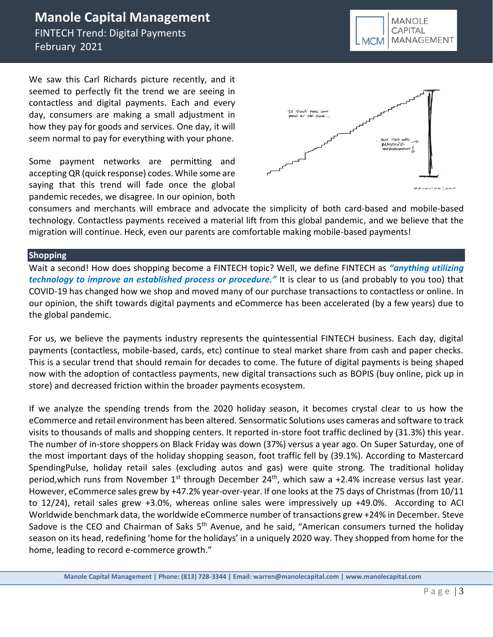# **Manole Capital Management**

FINTECH Trend: Digital Payments February 2021

We saw this Carl Richards picture recently, and it seemed to perfectly fit the trend we are seeing in contactless and digital payments. Each and every day, consumers are making a small adjustment in how they pay for goods and services. One day, it will seem normal to pay for everything with your phone.

Some payment networks are permitting and accepting QR (quick response) codes. While some are saying that this trend will fade once the global pandemic recedes, we disagree. In our opinion, both



consumers and merchants will embrace and advocate the simplicity of both card-based and mobile-based technology. Contactless payments received a material lift from this global pandemic, and we believe that the migration will continue. Heck, even our parents are comfortable making mobile-based payments!

#### **Shopping**

Wait a second! How does shopping become a FINTECH topic? Well, we define FINTECH as *"anything utilizing technology to improve an established process or procedure."* It is clear to us (and probably to you too) that COVID-19 has changed how we shop and moved many of our purchase transactions to contactless or online. In our opinion, the shift towards digital payments and eCommerce has been accelerated (by a few years) due to the global pandemic.

For us, we believe the payments industry represents the quintessential FINTECH business. Each day, digital payments (contactless, mobile-based, cards, etc) continue to steal market share from cash and paper checks. This is a secular trend that should remain for decades to come. The future of digital payments is being shaped now with the adoption of contactless payments, new digital transactions such as BOPIS (buy online, pick up in store) and decreased friction within the broader payments ecosystem.

If we analyze the spending trends from the 2020 holiday season, it becomes crystal clear to us how the eCommerce and retail environment has been altered. Sensormatic Solutions uses cameras and software to track visits to thousands of malls and shopping centers. It reported in-store foot traffic declined by (31.3%) this year. The number of in-store shoppers on Black Friday was down (37%) versus a year ago. On Super Saturday, one of the most important days of the holiday shopping season, foot traffic fell by (39.1%). According to Mastercard SpendingPulse, holiday retail sales (excluding autos and gas) were quite strong. The traditional holiday period, which runs from November 1<sup>st</sup> through December 24<sup>th</sup>, which saw a +2.4% increase versus last year. However, eCommerce sales grew by +47.2% year-over-year. If one looks at the 75 days of Christmas (from 10/11 to 12/24), retail sales grew +3.0%, whereas online sales were impressively up +49.0%. According to ACI Worldwide benchmark data, the worldwide eCommerce number of transactions grew +24% in December. Steve Sadove is the CEO and Chairman of Saks 5<sup>th</sup> Avenue, and he said, "American consumers turned the holiday season on its head, redefining 'home for the holidays' in a uniquely 2020 way. They shopped from home for the home, leading to record e-commerce growth."

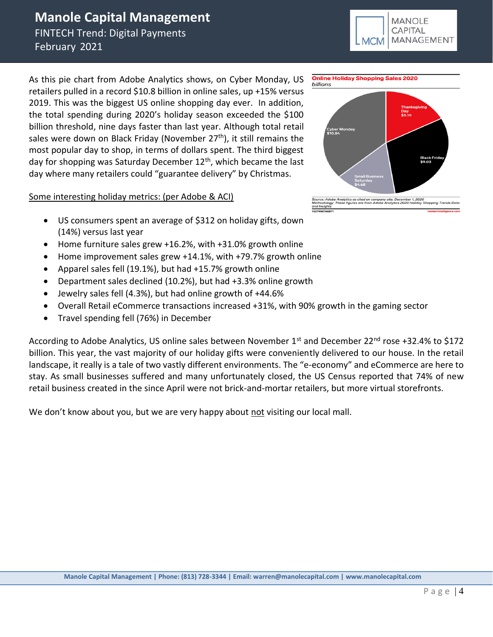# **Manole Capital Management**

FINTECH Trend: Digital Payments February 2021

As this pie chart from Adobe Analytics shows, on Cyber Monday, US retailers pulled in a record \$10.8 billion in online sales, up +15% versus 2019. This was the biggest US online shopping day ever. In addition, the total spending during 2020's holiday season exceeded the \$100 billion threshold, nine days faster than last year. Although total retail sales were down on Black Friday (November  $27<sup>th</sup>$ ), it still remains the most popular day to shop, in terms of dollars spent. The third biggest day for shopping was Saturday December 12<sup>th</sup>, which became the last day where many retailers could "guarantee delivery" by Christmas.

Some interesting holiday metrics: (per Adobe & ACI)

- US consumers spent an average of \$312 on holiday gifts, down (14%) versus last year
- Home furniture sales grew +16.2%, with +31.0% growth online
- Home improvement sales grew +14.1%, with +79.7% growth online
- Apparel sales fell (19.1%), but had +15.7% growth online
- Department sales declined (10.2%), but had +3.3% online growth
- Jewelry sales fell (4.3%), but had online growth of +44.6%
- Overall Retail eCommerce transactions increased +31%, with 90% growth in the gaming sector
- Travel spending fell (76%) in December

According to Adobe Analytics, US online sales between November 1<sup>st</sup> and December 22<sup>nd</sup> rose +32.4% to \$172 billion. This year, the vast majority of our holiday gifts were conveniently delivered to our house. In the retail landscape, it really is a tale of two vastly different environments. The "e-economy" and eCommerce are here to stay. As small businesses suffered and many unfortunately closed, the US Census reported that 74% of new retail business created in the since April were not brick-and-mortar retailers, but more virtual storefronts.

We don't know about you, but we are very happy about not visiting our local mall.